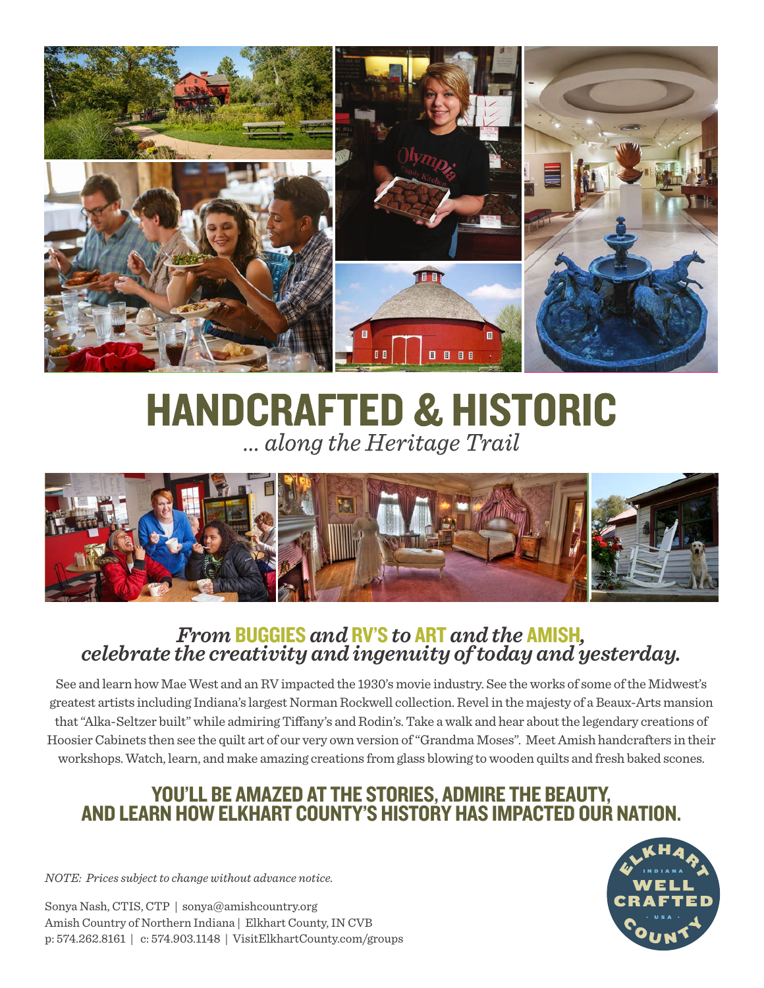

# **HANDCRAFTED & HISTORIC** ... along the Heritage Trail



# *From* BUGGIES *and* RV'S *to* ART *and the* AMISH*, celebrate the creativity and ingenuity of today and yesterday.*

See and learn how Mae West and an RV impacted the 1930's movie industry. See the works of some of the Midwest's greatest artists including Indiana's largest Norman Rockwell collection. Revel in the majesty of a Beaux-Arts mansion that "Alka-Seltzer built" while admiring Tiffany's and Rodin's. Take a walk and hear about the legendary creations of Hoosier Cabinets then see the quilt art of our very own version of "Grandma Moses". Meet Amish handcrafters in their workshops. Watch, learn, and make amazing creations from glass blowing to wooden quilts and fresh baked scones.

# YOU'LL BE AMAZED AT THE STORIES, ADMIRE THE BEAUTY, AND LEARN HOW ELKHART COUNTY'S HISTORY HAS IMPACTED OUR NATION.

*NOTE: Prices subject to change without advance notice.*

Sonya Nash, CTIS, CTP | sonya@amishcountry.org Amish Country of Northern Indiana | Elkhart County, IN CVB p: 574.262.8161 | c: 574.903.1148 | VisitElkhartCounty.com/groups

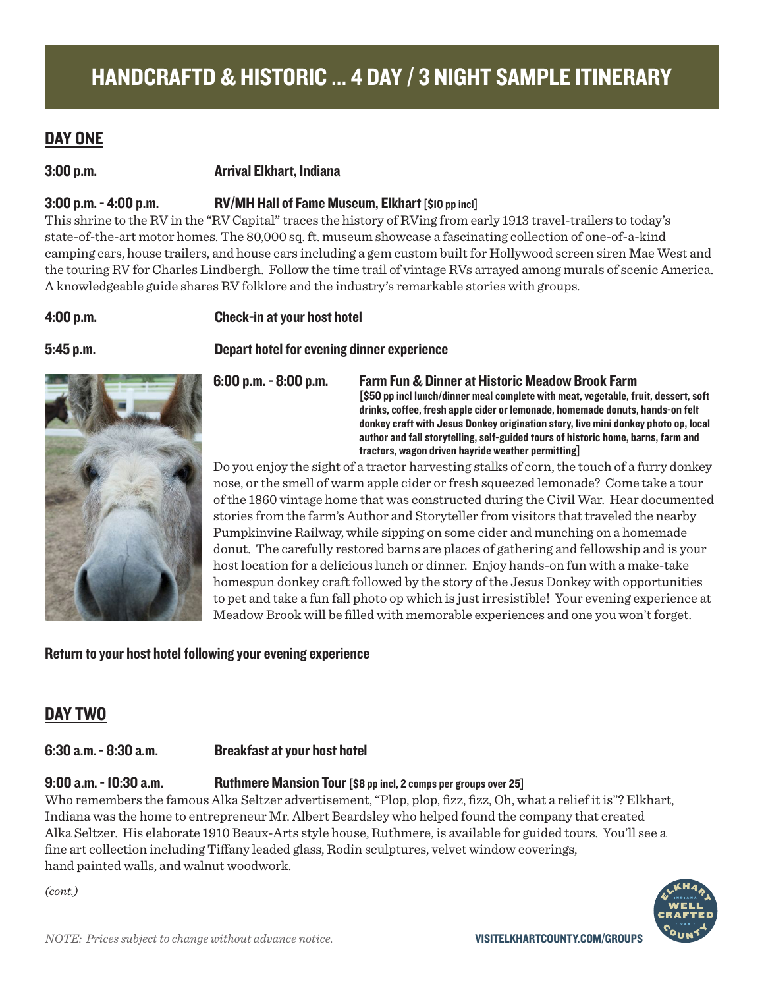# DAY ONE

### 3:00 p.m. Arrival Elkhart, Indiana

## 3:00 p.m. - 4:00 p.m. RV/MH Hall of Fame Museum, Elkhart [\$10 pp incl]

This shrine to the RV in the "RV Capital" traces the history of RVing from early 1913 travel-trailers to today's state-of-the-art motor homes. The 80,000 sq. ft. museum showcase a fascinating collection of one-of-a-kind camping cars, house trailers, and house cars including a gem custom built for Hollywood screen siren Mae West and the touring RV for Charles Lindbergh. Follow the time trail of vintage RVs arrayed among murals of scenic America. A knowledgeable guide shares RV folklore and the industry's remarkable stories with groups.

### 4:00 p.m. Check-in at your host hotel

5:45 p.m. Depart hotel for evening dinner experience



6:00 p.m. - 8:00 p.m. Farm Fun & Dinner at Historic Meadow Brook Farm [\$50 pp incl lunch/dinner meal complete with meat, vegetable, fruit, dessert, soft drinks, coffee, fresh apple cider or lemonade, homemade donuts, hands-on felt donkey craft with Jesus Donkey origination story, live mini donkey photo op, local author and fall storytelling, self-guided tours of historic home, barns, farm and tractors, wagon driven hayride weather permitting]

Do you enjoy the sight of a tractor harvesting stalks of corn, the touch of a furry donkey nose, or the smell of warm apple cider or fresh squeezed lemonade? Come take a tour of the 1860 vintage home that was constructed during the Civil War. Hear documented stories from the farm's Author and Storyteller from visitors that traveled the nearby Pumpkinvine Railway, while sipping on some cider and munching on a homemade donut. The carefully restored barns are places of gathering and fellowship and is your host location for a delicious lunch or dinner. Enjoy hands-on fun with a make-take homespun donkey craft followed by the story of the Jesus Donkey with opportunities to pet and take a fun fall photo op which is just irresistible! Your evening experience at Meadow Brook will be filled with memorable experiences and one you won't forget.

Return to your host hotel following your evening experience

# DAY TWO

## 6:30 a.m. - 8:30 a.m. Breakfast at your host hotel

9:00 a.m. - 10:30 a.m. Ruthmere Mansion Tour [\$8 pp incl, 2 comps per groups over 25]

Who remembers the famous Alka Seltzer advertisement, "Plop, plop, fizz, fizz, Oh, what a relief it is"? Elkhart, Indiana was the home to entrepreneur Mr. Albert Beardsley who helped found the company that created Alka Seltzer. His elaborate 1910 Beaux-Arts style house, Ruthmere, is available for guided tours. You'll see a fine art collection including Tiffany leaded glass, Rodin sculptures, velvet window coverings, hand painted walls, and walnut woodwork.

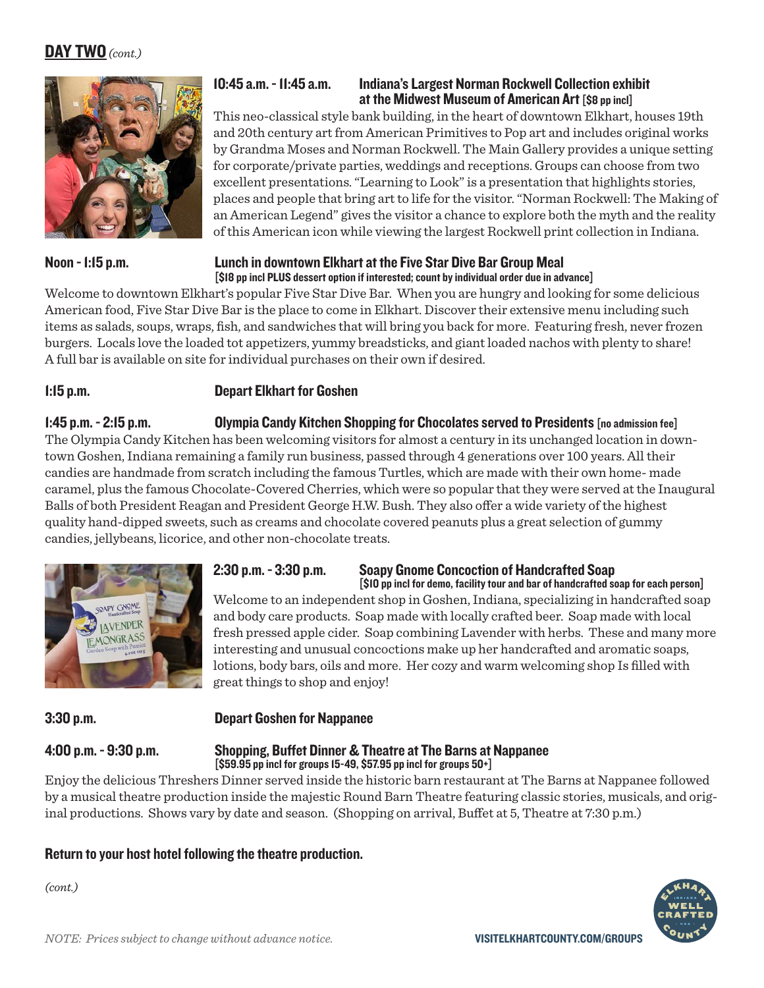# DAY TWO *(cont.)*



# 10:45 a.m. - 11:45 a.m. Indiana's Largest Norman Rockwell Collection exhibit at the Midwest Museum of American Art [\$8 pp incl]

This neo-classical style bank building, in the heart of downtown Elkhart, houses 19th and 20th century art from American Primitives to Pop art and includes original works by Grandma Moses and Norman Rockwell. The Main Gallery provides a unique setting for corporate/private parties, weddings and receptions. Groups can choose from two excellent presentations. "Learning to Look" is a presentation that highlights stories, places and people that bring art to life for the visitor. "Norman Rockwell: The Making of an American Legend" gives the visitor a chance to explore both the myth and the reality of this American icon while viewing the largest Rockwell print collection in Indiana.

### Noon - 1:15 p.m. Lunch in downtown Elkhart at the Five Star Dive Bar Group Meal [\$18 pp incl PLUS dessert option if interested; count by individual order due in advance]

Welcome to downtown Elkhart's popular Five Star Dive Bar. When you are hungry and looking for some delicious American food, Five Star Dive Bar is the place to come in Elkhart. Discover their extensive menu including such items as salads, soups, wraps, fish, and sandwiches that will bring you back for more. Featuring fresh, never frozen burgers. Locals love the loaded tot appetizers, yummy breadsticks, and giant loaded nachos with plenty to share! A full bar is available on site for individual purchases on their own if desired.

# 1:15 p.m. Depart Elkhart for Goshen

# 1:45 p.m. - 2:15 p.m. Olympia Candy Kitchen Shopping for Chocolates served to Presidents [no admission fee]

The Olympia Candy Kitchen has been welcoming visitors for almost a century in its unchanged location in downtown Goshen, Indiana remaining a family run business, passed through 4 generations over 100 years. All their candies are handmade from scratch including the famous Turtles, which are made with their own home- made caramel, plus the famous Chocolate-Covered Cherries, which were so popular that they were served at the Inaugural Balls of both President Reagan and President George H.W. Bush. They also offer a wide variety of the highest quality hand-dipped sweets, such as creams and chocolate covered peanuts plus a great selection of gummy candies, jellybeans, licorice, and other non-chocolate treats.



# 2:30 p.m. - 3:30 p.m. Soapy Gnome Concoction of Handcrafted Soap [\$10 pp incl for demo, facility tour and bar of handcrafted soap for each person]

Welcome to an independent shop in Goshen, Indiana, specializing in handcrafted soap and body care products. Soap made with locally crafted beer. Soap made with local fresh pressed apple cider. Soap combining Lavender with herbs. These and many more interesting and unusual concoctions make up her handcrafted and aromatic soaps, lotions, body bars, oils and more. Her cozy and warm welcoming shop Is filled with great things to shop and enjoy!

## 3:30 p.m. Depart Goshen for Nappanee

### 4:00 p.m. - 9:30 p.m. Shopping, Buffet Dinner & Theatre at The Barns at Nappanee  $[$ \$59.95 pp incl for groups 15-49, \$57.95 pp incl for groups 50+]

Enjoy the delicious Threshers Dinner served inside the historic barn restaurant at The Barns at Nappanee followed by a musical theatre production inside the majestic Round Barn Theatre featuring classic stories, musicals, and original productions. Shows vary by date and season. (Shopping on arrival, Buffet at 5, Theatre at 7:30 p.m.)

# Return to your host hotel following the theatre production.

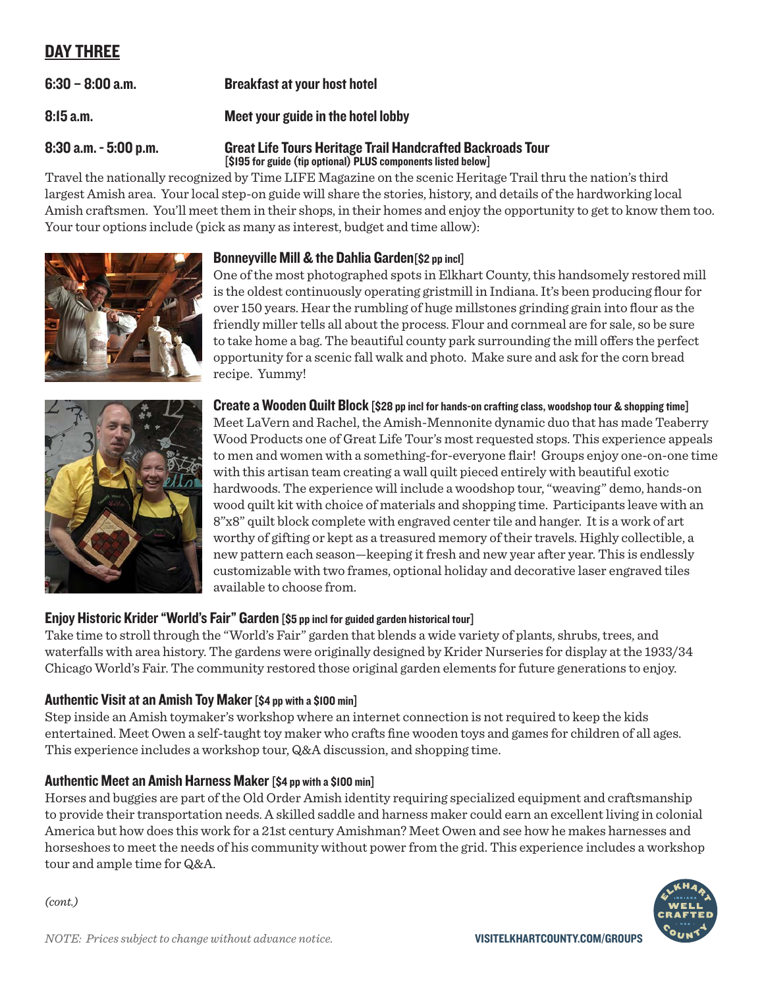# DAY THREE

6:30 – 8:00 a.m. Breakfast at your host hotel

8:15 a.m. Meet your guide in the hotel lobby

### 8:30 a.m. - 5:00 p.m. Great Life Tours Heritage Trail Handcrafted Backroads Tour [\$195 for guide (tip optional) PLUS components listed below]

Travel the nationally recognized by Time LIFE Magazine on the scenic Heritage Trail thru the nation's third largest Amish area. Your local step-on guide will share the stories, history, and details of the hardworking local Amish craftsmen. You'll meet them in their shops, in their homes and enjoy the opportunity to get to know them too. Your tour options include (pick as many as interest, budget and time allow):





# Bonneyville Mill & the Dahlia Garden[\$2 pp incl]

One of the most photographed spots in Elkhart County, this handsomely restored mill is the oldest continuously operating gristmill in Indiana. It's been producing flour for over 150 years. Hear the rumbling of huge millstones grinding grain into flour as the friendly miller tells all about the process. Flour and cornmeal are for sale, so be sure to take home a bag. The beautiful county park surrounding the mill offers the perfect opportunity for a scenic fall walk and photo. Make sure and ask for the corn bread recipe. Yummy!

Create a Wooden Quilt Block [\$28 pp incl for hands-on crafting class, woodshop tour & shopping time] Meet LaVern and Rachel, the Amish-Mennonite dynamic duo that has made Teaberry Wood Products one of Great Life Tour's most requested stops. This experience appeals to men and women with a something-for-everyone flair! Groups enjoy one-on-one time with this artisan team creating a wall quilt pieced entirely with beautiful exotic hardwoods. The experience will include a woodshop tour, "weaving" demo, hands-on wood quilt kit with choice of materials and shopping time. Participants leave with an 8"x8" quilt block complete with engraved center tile and hanger. It is a work of art worthy of gifting or kept as a treasured memory of their travels. Highly collectible, a new pattern each season—keeping it fresh and new year after year. This is endlessly customizable with two frames, optional holiday and decorative laser engraved tiles available to choose from.

# Enjoy Historic Krider "World's Fair" Garden [\$5 pp incl for guided garden historical tour]

Take time to stroll through the "World's Fair" garden that blends a wide variety of plants, shrubs, trees, and waterfalls with area history. The gardens were originally designed by Krider Nurseries for display at the 1933/34 Chicago World's Fair. The community restored those original garden elements for future generations to enjoy.

# Authentic Visit at an Amish Toy Maker [\$4 pp with a \$100 min]

Step inside an Amish toymaker's workshop where an internet connection is not required to keep the kids entertained. Meet Owen a self-taught toy maker who crafts fine wooden toys and games for children of all ages. This experience includes a workshop tour, Q&A discussion, and shopping time.

# Authentic Meet an Amish Harness Maker [\$4 pp with a \$100 min]

Horses and buggies are part of the Old Order Amish identity requiring specialized equipment and craftsmanship to provide their transportation needs. A skilled saddle and harness maker could earn an excellent living in colonial America but how does this work for a 21st century Amishman? Meet Owen and see how he makes harnesses and horseshoes to meet the needs of his community without power from the grid. This experience includes a workshop tour and ample time for Q&A.

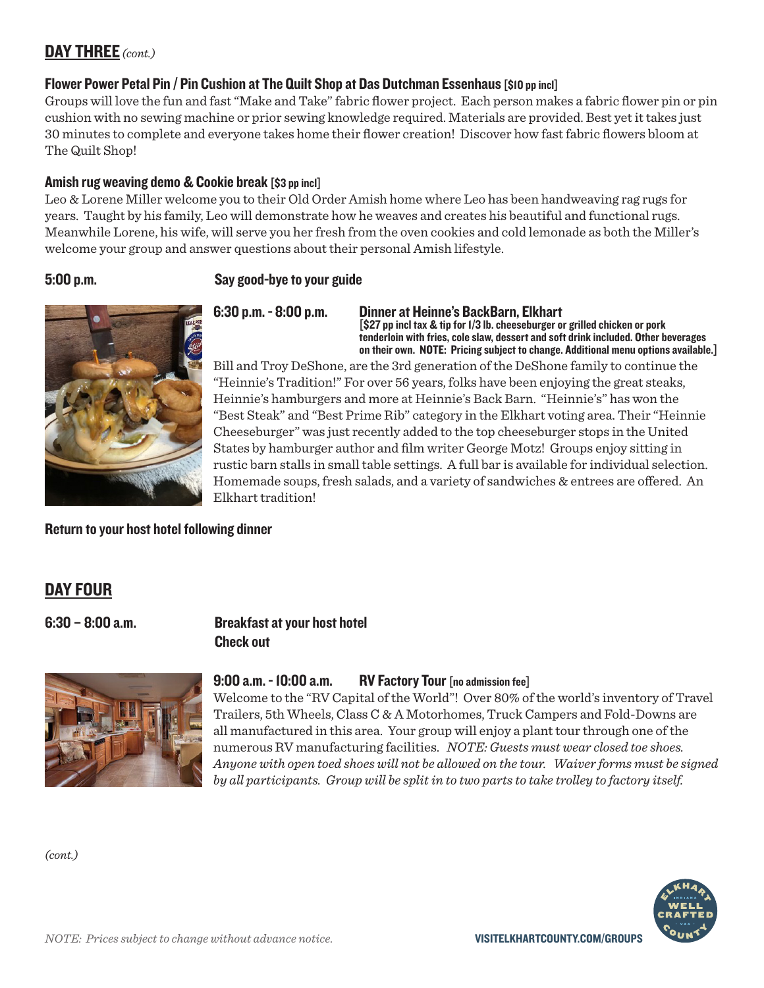# DAY THREE *(cont.)*

## Flower Power Petal Pin / Pin Cushion at The Quilt Shop at Das Dutchman Essenhaus [\$10 pp incl]

Groups will love the fun and fast "Make and Take" fabric flower project. Each person makes a fabric flower pin or pin cushion with no sewing machine or prior sewing knowledge required. Materials are provided. Best yet it takes just 30 minutes to complete and everyone takes home their flower creation! Discover how fast fabric flowers bloom at The Quilt Shop!

## Amish rug weaving demo & Cookie break [\$3 pp incl]

Leo & Lorene Miller welcome you to their Old Order Amish home where Leo has been handweaving rag rugs for years. Taught by his family, Leo will demonstrate how he weaves and creates his beautiful and functional rugs. Meanwhile Lorene, his wife, will serve you her fresh from the oven cookies and cold lemonade as both the Miller's welcome your group and answer questions about their personal Amish lifestyle.

## 5:00 p.m. Say good-bye to your guide



6:30 p.m. - 8:00 p.m. Dinner at Heinne's BackBarn, Elkhart [\$27 pp incl tax & tip for 1/3 lb. cheeseburger or grilled chicken or pork tenderloin with fries, cole slaw, dessert and soft drink included. Other beverages on their own. NOTE: Pricing subject to change. Additional menu options available.]

Bill and Troy DeShone, are the 3rd generation of the DeShone family to continue the "Heinnie's Tradition!" For over 56 years, folks have been enjoying the great steaks, Heinnie's hamburgers and more at Heinnie's Back Barn. "Heinnie's" has won the "Best Steak" and "Best Prime Rib" category in the Elkhart voting area. Their "Heinnie Cheeseburger" was just recently added to the top cheeseburger stops in the United States by hamburger author and film writer George Motz! Groups enjoy sitting in rustic barn stalls in small table settings. A full bar is available for individual selection. Homemade soups, fresh salads, and a variety of sandwiches & entrees are offered. An Elkhart tradition!

Return to your host hotel following dinner

# DAY FOUR

# 6:30 – 8:00 a.m. Breakfast at your host hotel Check out



### 9:00 a.m. - 10:00 a.m. RV Factory Tour [no admission fee]

Welcome to the "RV Capital of the World"! Over 80% of the world's inventory of Travel Trailers, 5th Wheels, Class C & A Motorhomes, Truck Campers and Fold-Downs are all manufactured in this area. Your group will enjoy a plant tour through one of the numerous RV manufacturing facilities. *NOTE: Guests must wear closed toe shoes. Anyone with open toed shoes will not be allowed on the tour. Waiver forms must be signed by all participants. Group will be split in to two parts to take trolley to factory itself.*